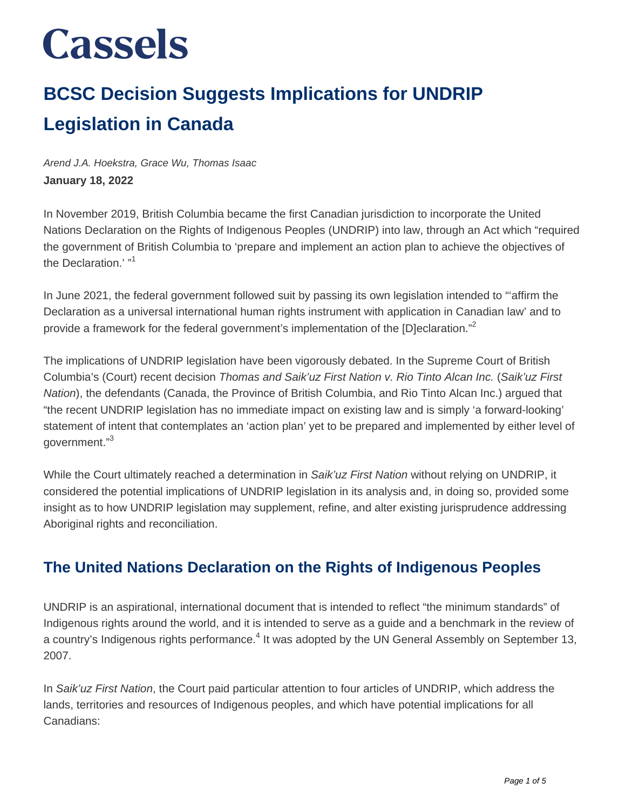### **BCSC Decision Suggests Implications for UNDRIP Legislation in Canada**

Arend J.A. Hoekstra, Grace Wu, Thomas Isaac **January 18, 2022**

In November 2019, British Columbia became the first Canadian jurisdiction to incorporate the United Nations Declaration on the Rights of Indigenous Peoples (UNDRIP) into law, through an Act which "required the government of British Columbia to 'prepare and implement an action plan to achieve the objectives of the Declaration.' "<sup>1</sup>

In June 2021, the federal government followed suit by passing its own legislation intended to "'affirm the Declaration as a universal international human rights instrument with application in Canadian law' and to provide a framework for the federal government's implementation of the [D]eclaration."<sup>2</sup>

The implications of UNDRIP legislation have been vigorously debated. In the Supreme Court of British Columbia's (Court) recent decision Thomas and Saik'uz First Nation v. Rio Tinto Alcan Inc. (Saik'uz First Nation), the defendants (Canada, the Province of British Columbia, and Rio Tinto Alcan Inc.) argued that "the recent UNDRIP legislation has no immediate impact on existing law and is simply 'a forward-looking' statement of intent that contemplates an 'action plan' yet to be prepared and implemented by either level of aovernment."<sup>3</sup>

While the Court ultimately reached a determination in Saik'uz First Nation without relying on UNDRIP, it considered the potential implications of UNDRIP legislation in its analysis and, in doing so, provided some insight as to how UNDRIP legislation may supplement, refine, and alter existing jurisprudence addressing Aboriginal rights and reconciliation.

### **The United Nations Declaration on the Rights of Indigenous Peoples**

UNDRIP is an aspirational, international document that is intended to reflect "the minimum standards" of Indigenous rights around the world, and it is intended to serve as a guide and a benchmark in the review of a country's Indigenous rights performance.<sup>4</sup> It was adopted by the UN General Assembly on September 13, 2007.

In Saik'uz First Nation, the Court paid particular attention to four articles of UNDRIP, which address the lands, territories and resources of Indigenous peoples, and which have potential implications for all Canadians: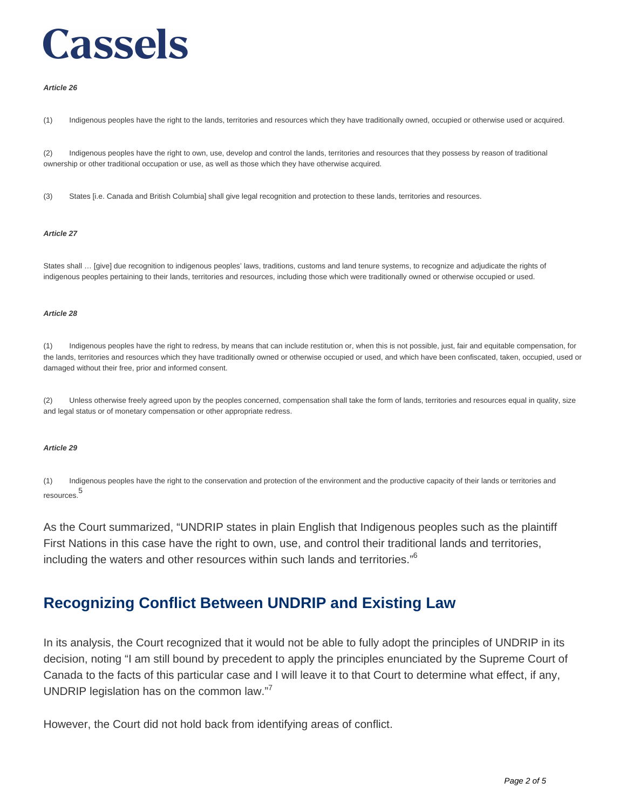#### **Article 26**

(1) Indigenous peoples have the right to the lands, territories and resources which they have traditionally owned, occupied or otherwise used or acquired.

(2) Indigenous peoples have the right to own, use, develop and control the lands, territories and resources that they possess by reason of traditional ownership or other traditional occupation or use, as well as those which they have otherwise acquired.

(3) States [i.e. Canada and British Columbia] shall give legal recognition and protection to these lands, territories and resources.

#### **Article 27**

States shall … [give] due recognition to indigenous peoples' laws, traditions, customs and land tenure systems, to recognize and adjudicate the rights of indigenous peoples pertaining to their lands, territories and resources, including those which were traditionally owned or otherwise occupied or used.

#### **Article 28**

(1) Indigenous peoples have the right to redress, by means that can include restitution or, when this is not possible, just, fair and equitable compensation, for the lands, territories and resources which they have traditionally owned or otherwise occupied or used, and which have been confiscated, taken, occupied, used or damaged without their free, prior and informed consent.

(2) Unless otherwise freely agreed upon by the peoples concerned, compensation shall take the form of lands, territories and resources equal in quality, size and legal status or of monetary compensation or other appropriate redress.

#### **Article 29**

(1) Indigenous peoples have the right to the conservation and protection of the environment and the productive capacity of their lands or territories and resources. 5

As the Court summarized, "UNDRIP states in plain English that Indigenous peoples such as the plaintiff First Nations in this case have the right to own, use, and control their traditional lands and territories, including the waters and other resources within such lands and territories."<sup>6</sup>

#### **Recognizing Conflict Between UNDRIP and Existing Law**

In its analysis, the Court recognized that it would not be able to fully adopt the principles of UNDRIP in its decision, noting "I am still bound by precedent to apply the principles enunciated by the Supreme Court of Canada to the facts of this particular case and I will leave it to that Court to determine what effect, if any, UNDRIP legislation has on the common law."<sup>7</sup>

However, the Court did not hold back from identifying areas of conflict.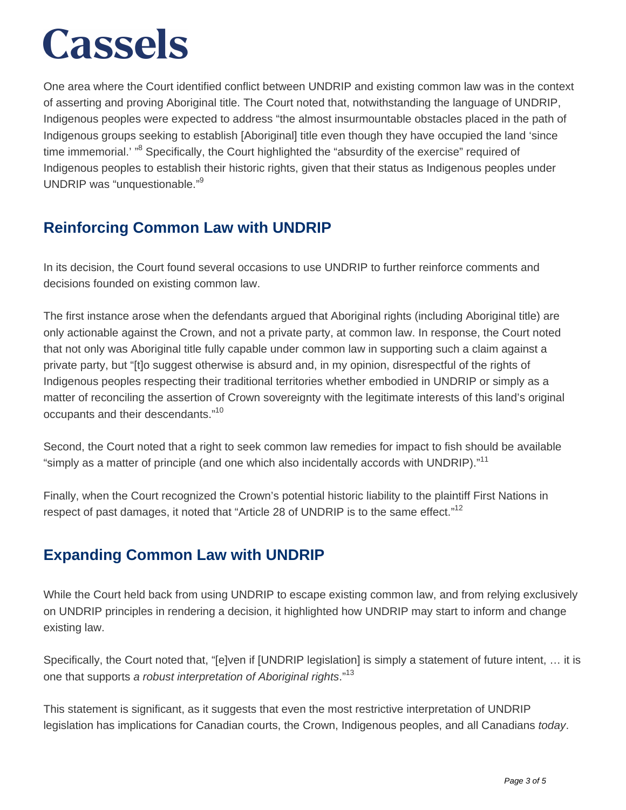One area where the Court identified conflict between UNDRIP and existing common law was in the context of asserting and proving Aboriginal title. The Court noted that, notwithstanding the language of UNDRIP, Indigenous peoples were expected to address "the almost insurmountable obstacles placed in the path of Indigenous groups seeking to establish [Aboriginal] title even though they have occupied the land 'since time immemorial.' "<sup>8</sup> Specifically, the Court highlighted the "absurdity of the exercise" required of Indigenous peoples to establish their historic rights, given that their status as Indigenous peoples under UNDRIP was "unquestionable."<sup>9</sup>

### **Reinforcing Common Law with UNDRIP**

In its decision, the Court found several occasions to use UNDRIP to further reinforce comments and decisions founded on existing common law.

The first instance arose when the defendants argued that Aboriginal rights (including Aboriginal title) are only actionable against the Crown, and not a private party, at common law. In response, the Court noted that not only was Aboriginal title fully capable under common law in supporting such a claim against a private party, but "[t]o suggest otherwise is absurd and, in my opinion, disrespectful of the rights of Indigenous peoples respecting their traditional territories whether embodied in UNDRIP or simply as a matter of reconciling the assertion of Crown sovereignty with the legitimate interests of this land's original occupants and their descendants."<sup>10</sup>

Second, the Court noted that a right to seek common law remedies for impact to fish should be available "simply as a matter of principle (and one which also incidentally accords with UNDRIP)."<sup>11</sup>

Finally, when the Court recognized the Crown's potential historic liability to the plaintiff First Nations in respect of past damages, it noted that "Article 28 of UNDRIP is to the same effect."<sup>12</sup>

### **Expanding Common Law with UNDRIP**

While the Court held back from using UNDRIP to escape existing common law, and from relying exclusively on UNDRIP principles in rendering a decision, it highlighted how UNDRIP may start to inform and change existing law.

Specifically, the Court noted that, "[e]ven if [UNDRIP legislation] is simply a statement of future intent, ... it is one that supports a robust interpretation of Aboriginal rights."<sup>13</sup>

This statement is significant, as it suggests that even the most restrictive interpretation of UNDRIP legislation has implications for Canadian courts, the Crown, Indigenous peoples, and all Canadians today.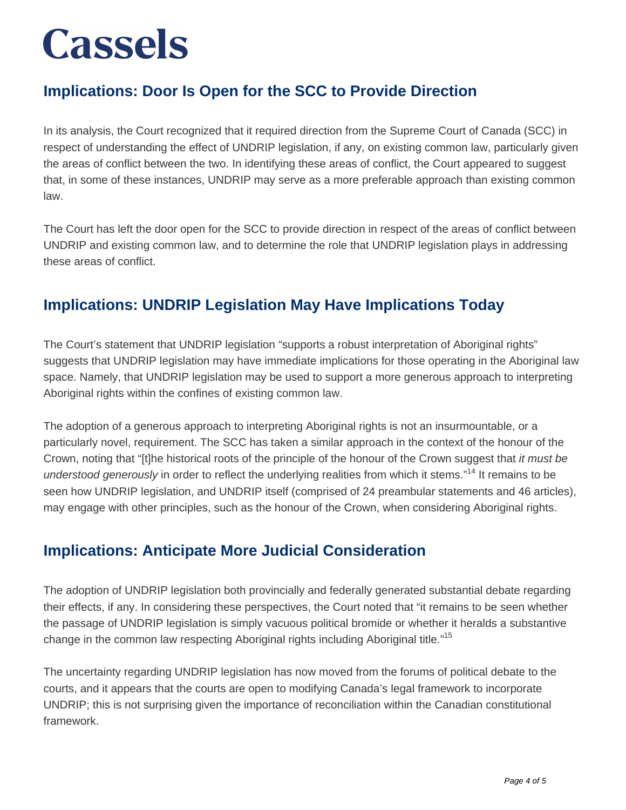### **Implications: Door Is Open for the SCC to Provide Direction**

In its analysis, the Court recognized that it required direction from the Supreme Court of Canada (SCC) in respect of understanding the effect of UNDRIP legislation, if any, on existing common law, particularly given the areas of conflict between the two. In identifying these areas of conflict, the Court appeared to suggest that, in some of these instances, UNDRIP may serve as a more preferable approach than existing common law.

The Court has left the door open for the SCC to provide direction in respect of the areas of conflict between UNDRIP and existing common law, and to determine the role that UNDRIP legislation plays in addressing these areas of conflict.

### **Implications: UNDRIP Legislation May Have Implications Today**

The Court's statement that UNDRIP legislation "supports a robust interpretation of Aboriginal rights" suggests that UNDRIP legislation may have immediate implications for those operating in the Aboriginal law space. Namely, that UNDRIP legislation may be used to support a more generous approach to interpreting Aboriginal rights within the confines of existing common law.

The adoption of a generous approach to interpreting Aboriginal rights is not an insurmountable, or a particularly novel, requirement. The SCC has taken a similar approach in the context of the honour of the Crown, noting that "[t]he historical roots of the principle of the honour of the Crown suggest that it must be understood generously in order to reflect the underlying realities from which it stems."<sup>14</sup> It remains to be seen how UNDRIP legislation, and UNDRIP itself (comprised of 24 preambular statements and 46 articles), may engage with other principles, such as the honour of the Crown, when considering Aboriginal rights.

### **Implications: Anticipate More Judicial Consideration**

The adoption of UNDRIP legislation both provincially and federally generated substantial debate regarding their effects, if any. In considering these perspectives, the Court noted that "it remains to be seen whether the passage of UNDRIP legislation is simply vacuous political bromide or whether it heralds a substantive change in the common law respecting Aboriginal rights including Aboriginal title."<sup>15</sup>

The uncertainty regarding UNDRIP legislation has now moved from the forums of political debate to the courts, and it appears that the courts are open to modifying Canada's legal framework to incorporate UNDRIP; this is not surprising given the importance of reconciliation within the Canadian constitutional framework.